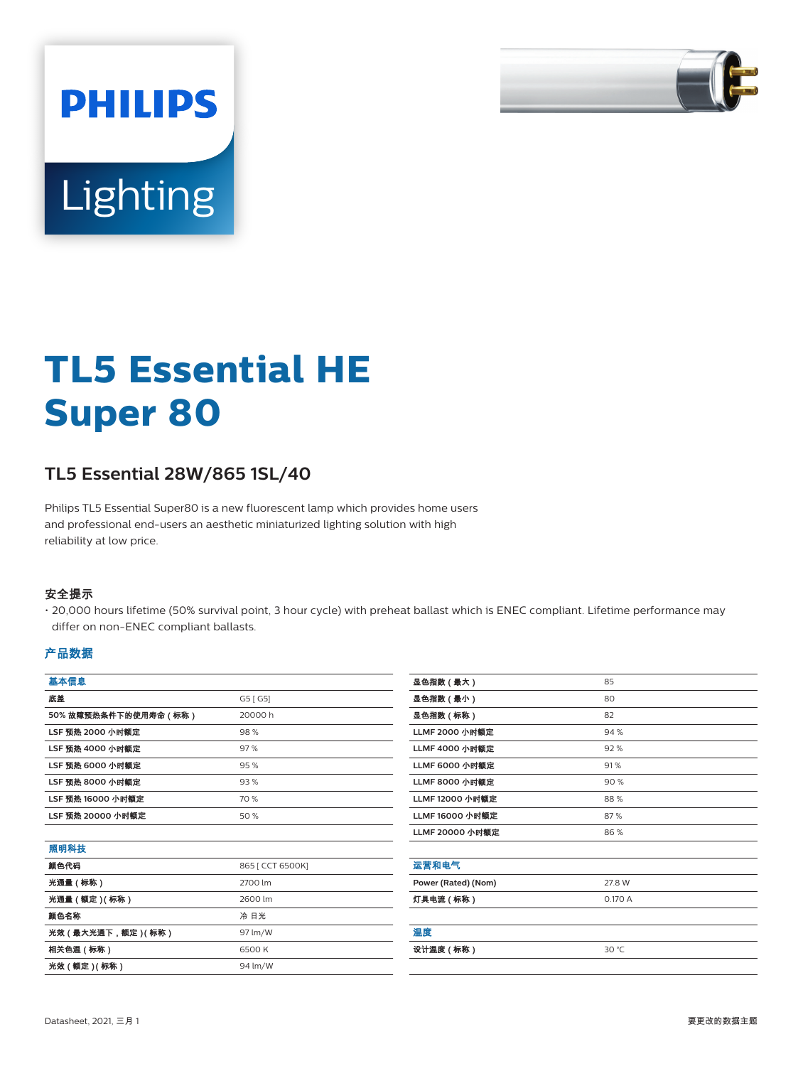

# Lighting

**PHILIPS** 

# **TL5 Essential HE Super 80**

# **TL5 Essential 28W/865 1SL/40**

Philips TL5 Essential Super80 is a new fluorescent lamp which provides home users and professional end-users an aesthetic miniaturized lighting solution with high reliability at low price.

#### 安全提示

• 20,000 hours lifetime (50% survival point, 3 hour cycle) with preheat ballast which is ENEC compliant. Lifetime performance may differ on non-ENEC compliant ballasts.

#### 产品数据

| 基本信息                    |          |
|-------------------------|----------|
| 底盖                      | G5 [ G5] |
| 50%故障预热条件下的使用寿命(标称)     | 20000 h  |
| LSF 预热 2000 小时额定        | 98%      |
| LSF 预热 4000 小时额定        | 97%      |
| <b>LSF 预热 6000 小时额定</b> | 95%      |
| <b>LSF 预热 8000 小时额定</b> | 93%      |
| LSF 预热 16000 小时额定       | 70 %     |
| LSF 预热 20000 小时额定       | 50 %     |
|                         |          |

| 颜色代码<br>865 [ CCT 6500K]<br>光通量(标称)<br>2700 lm<br>光通量 ( 额定 ) ( 标称 )<br>2600 lm<br>颜色名称<br>冷 日光<br>光效 (最大光通下,额定) (标称)<br>97 lm/W<br>相关色温(标称)<br>6500 K | 照明科技             |         |
|-------------------------------------------------------------------------------------------------------------------------------------------------------|------------------|---------|
|                                                                                                                                                       |                  |         |
|                                                                                                                                                       |                  |         |
|                                                                                                                                                       |                  |         |
|                                                                                                                                                       |                  |         |
|                                                                                                                                                       |                  |         |
|                                                                                                                                                       |                  |         |
|                                                                                                                                                       | 光效 ( 额定 ) ( 标称 ) | 94 lm/W |

| 显色指数(最大)              | 85      |
|-----------------------|---------|
| 显色指数(最小)              | 80      |
| 显色指数(标称)              | 82      |
| LLMF 2000 小时额定        | 94 %    |
| <b>LLMF 4000 小时额定</b> | 92%     |
| <b>LLMF 6000 小时额定</b> | 91%     |
| <b>LLMF 8000 小时额定</b> | 90%     |
| LLMF 12000 小时额定       | 88%     |
| LLMF 16000 小时额定       | 87%     |
| LLMF 20000 小时额定       | 86%     |
|                       |         |
| 运营和电气                 |         |
| Power (Rated) (Nom)   | 27.8 W  |
| 灯具电流(标称)              | 0.170 A |
|                       |         |
| 温度                    |         |
| 设计温度 (标称)             | 30 °C   |
|                       |         |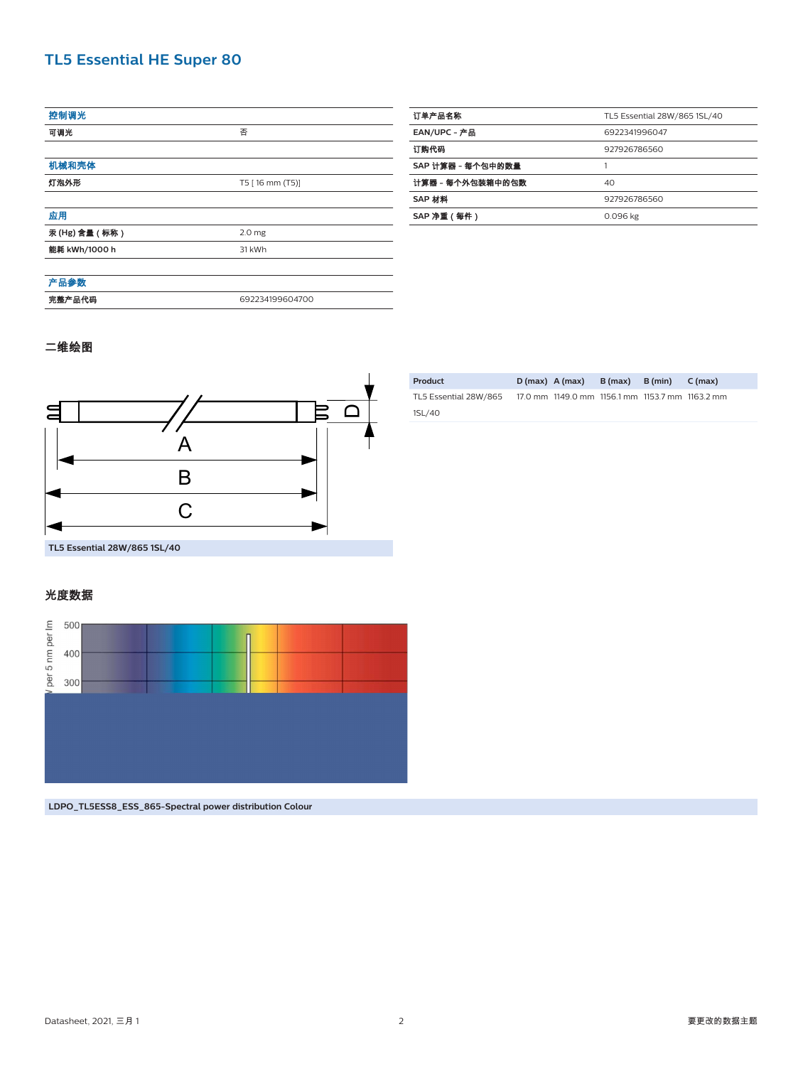## **TL5 Essential HE Super 80**

| 控制调光          |                   |
|---------------|-------------------|
| 可调光           | 否                 |
|               |                   |
| 机械和壳体         |                   |
| 灯泡外形          | T5 [ 16 mm (T5)]  |
|               |                   |
| 应用            |                   |
| 汞(Hg) 含量 (标称) | 2.0 <sub>mg</sub> |
| 能耗 kWh/1000 h | 31 kWh            |
|               |                   |
| 产品参数          |                   |
| 完整产品代码        | 692234199604700   |
|               |                   |

| 订单产品名称            | TL5 Essential 28W/865 1SL/40 |  |
|-------------------|------------------------------|--|
| EAN/UPC - 产品      | 6922341996047                |  |
| 订购代码              | 927926786560                 |  |
| SAP 计算器 - 每个包中的数量 | 1                            |  |
| 计算器 - 每个外包装箱中的包数  | 40                           |  |
| SAP 材料            | 927926786560                 |  |
| SAP 净重(每件)        | 0.096 kg                     |  |

#### 二维绘图



| Product               | $D(max)$ A (max)                                | $B(max)$ $B(min)$ | C (max) |
|-----------------------|-------------------------------------------------|-------------------|---------|
| TL5 Essential 28W/865 | 17.0 mm 1149.0 mm 1156.1 mm 1153.7 mm 1163.2 mm |                   |         |
| 1SL/40                |                                                 |                   |         |

**TL5 Essential 28W/865 1SL/40**

#### 光度数据



**LDPO\_TL5ESS8\_ESS\_865-Spectral power distribution Colour**